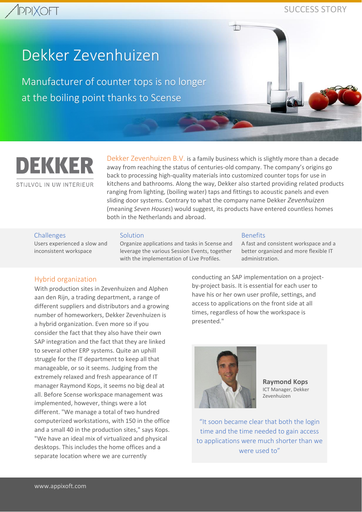## **PPIXOFT**

### SUCCESS STORY

# Dekker Zevenhuizen

Manufacturer of counter tops is no longer at the boiling point thanks to Scense



STIJLVOL IN UW INTERIEUR

Dekker Zevenhuizen B.V. is a family business which is slightly more than a decade away from reaching the status of centuries-old company. The company's origins go back to processing high-quality materials into customized counter tops for use in kitchens and bathrooms. Along the way, Dekker also started providing related products ranging from lighting, (boiling water) taps and fittings to acoustic panels and even sliding door systems. Contrary to what the company name Dekker *Zevenhuizen* (meaning *Seven Houses*) would suggest, its products have entered countless homes both in the Netherlands and abroad.

#### Challenges

Users experienced a slow and inconsistent workspace

#### Solution

Organize applications and tasks in Scense and leverage the various Session Events, together with the implementation of Live Profiles.

#### Benefits

A fast and consistent workspace and a better organized and more flexible IT administration.

#### Hybrid organization

With production sites in Zevenhuizen and Alphen aan den Rijn, a trading department, a range of different suppliers and distributors and a growing number of homeworkers, Dekker Zevenhuizen is a hybrid organization. Even more so if you consider the fact that they also have their own SAP integration and the fact that they are linked to several other ERP systems. Quite an uphill struggle for the IT department to keep all that manageable, or so it seems. Judging from the extremely relaxed and fresh appearance of IT manager Raymond Kops, it seems no big deal at all. Before Scense workspace management was implemented, however, things were a lot different. "We manage a total of two hundred computerized workstations, with 150 in the office and a small 40 in the production sites," says Kops. "We have an ideal mix of virtualized and physical desktops. This includes the home offices and a separate location where we are currently

conducting an SAP implementation on a projectby-project basis. It is essential for each user to have his or her own user profile, settings, and access to applications on the front side at all times, regardless of how the workspace is presented."



**Raymond Kops** ICT Manager, Dekker Zevenhuizen

"It soon became clear that both the login time and the time needed to gain access to applications were much shorter than we were used to"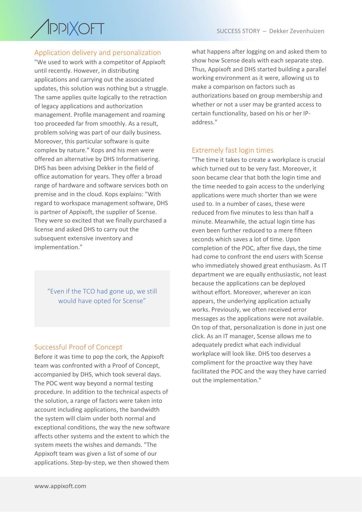

#### Application delivery and personalization

"We used to work with a competitor of Appixoft until recently. However, in distributing applications and carrying out the associated updates, this solution was nothing but a struggle. The same applies quite logically to the retraction of legacy applications and authorization management. Profile management and roaming too proceeded far from smoothly. As a result, problem solving was part of our daily business. Moreover, this particular software is quite complex by nature." Kops and his men were offered an alternative by DHS Informatisering. DHS has been advising Dekker in the field of office automation for years. They offer a broad range of hardware and software services both on premise and in the cloud. Kops explains: "With regard to workspace management software, DHS is partner of Appixoft, the supplier of Scense. They were so excited that we finally purchased a license and asked DHS to carry out the subsequent extensive inventory and implementation."

"Even if the TCO had gone up, we still would have opted for Scense"

#### Successful Proof of Concept

Before it was time to pop the cork, the Appixoft team was confronted with a Proof of Concept, accompanied by DHS, which took several days. The POC went way beyond a normal testing procedure. In addition to the technical aspects of the solution, a range of factors were taken into account including applications, the bandwidth the system will claim under both normal and exceptional conditions, the way the new software affects other systems and the extent to which the system meets the wishes and demands. "The Appixoft team was given a list of some of our applications. Step-by-step, we then showed them

what happens after logging on and asked them to show how Scense deals with each separate step. Thus, Appixoft and DHS started building a parallel working environment as it were, allowing us to make a comparison on factors such as authorizations based on group membership and whether or not a user may be granted access to certain functionality, based on his or her IPaddress."

#### Extremely fast login times

"The time it takes to create a workplace is crucial which turned out to be very fast. Moreover, it soon became clear that both the login time and the time needed to gain access to the underlying applications were much shorter than we were used to. In a number of cases, these were reduced from five minutes to less than half a minute. Meanwhile, the actual login time has even been further reduced to a mere fifteen seconds which saves a lot of time. Upon completion of the POC, after five days, the time had come to confront the end users with Scense who immediately showed great enthusiasm. As IT department we are equally enthusiastic, not least because the applications can be deployed without effort. Moreover, wherever an icon appears, the underlying application actually works. Previously, we often received error messages as the applications were not available. On top of that, personalization is done in just one click. As an IT manager, Scense allows me to adequately predict what each individual workplace will look like. DHS too deserves a compliment for the proactive way they have facilitated the POC and the way they have carried out the implementation."